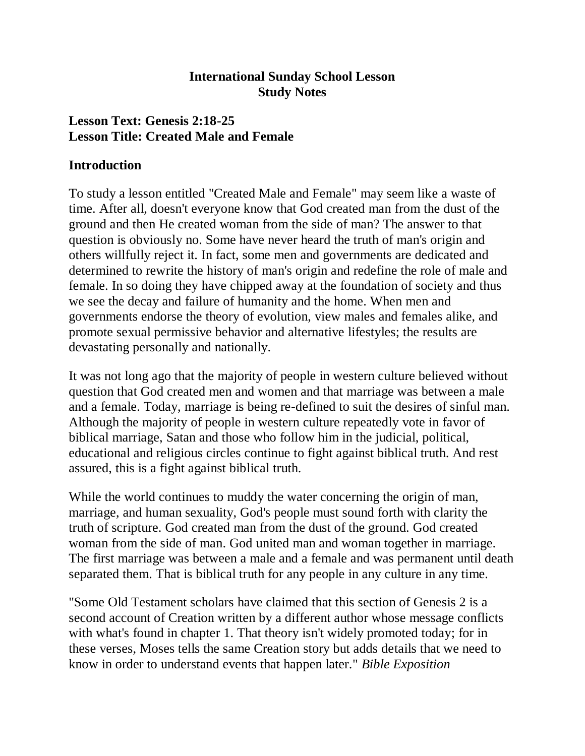#### **International Sunday School Lesson Study Notes**

## **Lesson Text: Genesis 2:18-25 Lesson Title: Created Male and Female**

#### **Introduction**

To study a lesson entitled "Created Male and Female" may seem like a waste of time. After all, doesn't everyone know that God created man from the dust of the ground and then He created woman from the side of man? The answer to that question is obviously no. Some have never heard the truth of man's origin and others willfully reject it. In fact, some men and governments are dedicated and determined to rewrite the history of man's origin and redefine the role of male and female. In so doing they have chipped away at the foundation of society and thus we see the decay and failure of humanity and the home. When men and governments endorse the theory of evolution, view males and females alike, and promote sexual permissive behavior and alternative lifestyles; the results are devastating personally and nationally.

It was not long ago that the majority of people in western culture believed without question that God created men and women and that marriage was between a male and a female. Today, marriage is being re-defined to suit the desires of sinful man. Although the majority of people in western culture repeatedly vote in favor of biblical marriage, Satan and those who follow him in the judicial, political, educational and religious circles continue to fight against biblical truth. And rest assured, this is a fight against biblical truth.

While the world continues to muddy the water concerning the origin of man, marriage, and human sexuality, God's people must sound forth with clarity the truth of scripture. God created man from the dust of the ground. God created woman from the side of man. God united man and woman together in marriage. The first marriage was between a male and a female and was permanent until death separated them. That is biblical truth for any people in any culture in any time.

"Some Old Testament scholars have claimed that this section of Genesis 2 is a second account of Creation written by a different author whose message conflicts with what's found in chapter 1. That theory isn't widely promoted today; for in these verses, Moses tells the same Creation story but adds details that we need to know in order to understand events that happen later." *Bible Exposition*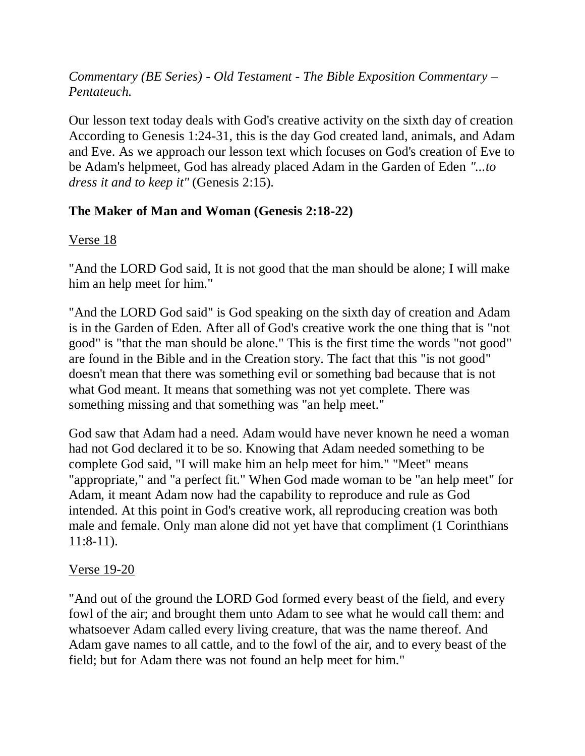## *Commentary (BE Series) - Old Testament - The Bible Exposition Commentary – Pentateuch.*

Our lesson text today deals with God's creative activity on the sixth day of creation According to Genesis 1:24-31, this is the day God created land, animals, and Adam and Eve. As we approach our lesson text which focuses on God's creation of Eve to be Adam's helpmeet, God has already placed Adam in the Garden of Eden *"...to dress it and to keep it"* (Genesis 2:15).

## **The Maker of Man and Woman (Genesis 2:18-22)**

## Verse 18

"And the LORD God said, It is not good that the man should be alone; I will make him an help meet for him."

"And the LORD God said" is God speaking on the sixth day of creation and Adam is in the Garden of Eden. After all of God's creative work the one thing that is "not good" is "that the man should be alone." This is the first time the words "not good" are found in the Bible and in the Creation story. The fact that this "is not good" doesn't mean that there was something evil or something bad because that is not what God meant. It means that something was not yet complete. There was something missing and that something was "an help meet."

God saw that Adam had a need. Adam would have never known he need a woman had not God declared it to be so. Knowing that Adam needed something to be complete God said, "I will make him an help meet for him." "Meet" means "appropriate," and "a perfect fit." When God made woman to be "an help meet" for Adam, it meant Adam now had the capability to reproduce and rule as God intended. At this point in God's creative work, all reproducing creation was both male and female. Only man alone did not yet have that compliment (1 Corinthians 11:8-11).

## Verse 19-20

"And out of the ground the LORD God formed every beast of the field, and every fowl of the air; and brought them unto Adam to see what he would call them: and whatsoever Adam called every living creature, that was the name thereof. And Adam gave names to all cattle, and to the fowl of the air, and to every beast of the field; but for Adam there was not found an help meet for him."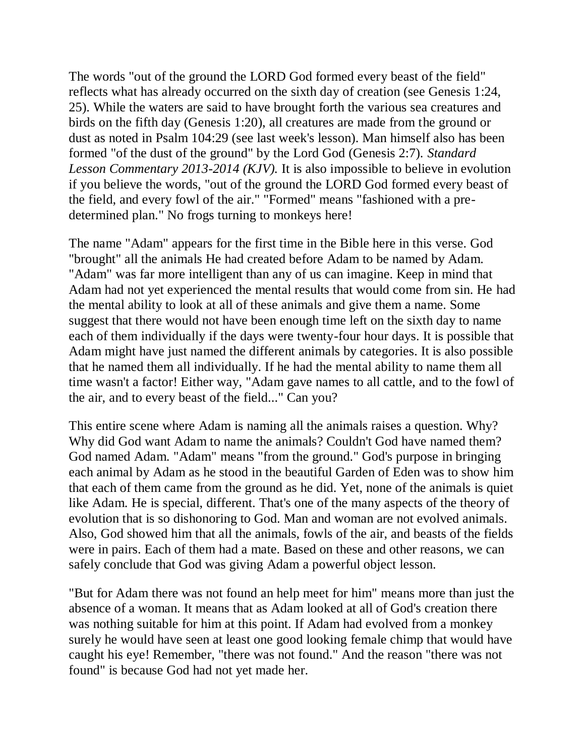The words "out of the ground the LORD God formed every beast of the field" reflects what has already occurred on the sixth day of creation (see Genesis 1:24, 25). While the waters are said to have brought forth the various sea creatures and birds on the fifth day (Genesis 1:20), all creatures are made from the ground or dust as noted in Psalm 104:29 (see last week's lesson). Man himself also has been formed "of the dust of the ground" by the Lord God (Genesis 2:7). *Standard Lesson Commentary 2013-2014 (KJV).* It is also impossible to believe in evolution if you believe the words, "out of the ground the LORD God formed every beast of the field, and every fowl of the air." "Formed" means "fashioned with a predetermined plan." No frogs turning to monkeys here!

The name "Adam" appears for the first time in the Bible here in this verse. God "brought" all the animals He had created before Adam to be named by Adam. "Adam" was far more intelligent than any of us can imagine. Keep in mind that Adam had not yet experienced the mental results that would come from sin. He had the mental ability to look at all of these animals and give them a name. Some suggest that there would not have been enough time left on the sixth day to name each of them individually if the days were twenty-four hour days. It is possible that Adam might have just named the different animals by categories. It is also possible that he named them all individually. If he had the mental ability to name them all time wasn't a factor! Either way, "Adam gave names to all cattle, and to the fowl of the air, and to every beast of the field..." Can you?

This entire scene where Adam is naming all the animals raises a question. Why? Why did God want Adam to name the animals? Couldn't God have named them? God named Adam. "Adam" means "from the ground." God's purpose in bringing each animal by Adam as he stood in the beautiful Garden of Eden was to show him that each of them came from the ground as he did. Yet, none of the animals is quiet like Adam. He is special, different. That's one of the many aspects of the theory of evolution that is so dishonoring to God. Man and woman are not evolved animals. Also, God showed him that all the animals, fowls of the air, and beasts of the fields were in pairs. Each of them had a mate. Based on these and other reasons, we can safely conclude that God was giving Adam a powerful object lesson.

"But for Adam there was not found an help meet for him" means more than just the absence of a woman. It means that as Adam looked at all of God's creation there was nothing suitable for him at this point. If Adam had evolved from a monkey surely he would have seen at least one good looking female chimp that would have caught his eye! Remember, "there was not found." And the reason "there was not found" is because God had not yet made her.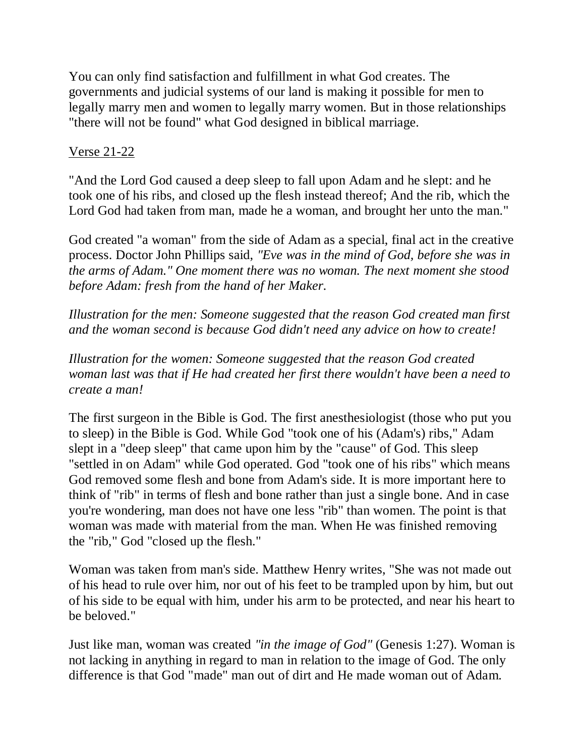You can only find satisfaction and fulfillment in what God creates. The governments and judicial systems of our land is making it possible for men to legally marry men and women to legally marry women. But in those relationships "there will not be found" what God designed in biblical marriage.

## Verse 21-22

"And the Lord God caused a deep sleep to fall upon Adam and he slept: and he took one of his ribs, and closed up the flesh instead thereof; And the rib, which the Lord God had taken from man, made he a woman, and brought her unto the man."

God created "a woman" from the side of Adam as a special, final act in the creative process. Doctor John Phillips said, *"Eve was in the mind of God, before she was in the arms of Adam." One moment there was no woman. The next moment she stood before Adam: fresh from the hand of her Maker.*

*Illustration for the men: Someone suggested that the reason God created man first and the woman second is because God didn't need any advice on how to create!*

*Illustration for the women: Someone suggested that the reason God created woman last was that if He had created her first there wouldn't have been a need to create a man!*

The first surgeon in the Bible is God. The first anesthesiologist (those who put you to sleep) in the Bible is God. While God "took one of his (Adam's) ribs," Adam slept in a "deep sleep" that came upon him by the "cause" of God. This sleep "settled in on Adam" while God operated. God "took one of his ribs" which means God removed some flesh and bone from Adam's side. It is more important here to think of "rib" in terms of flesh and bone rather than just a single bone. And in case you're wondering, man does not have one less "rib" than women. The point is that woman was made with material from the man. When He was finished removing the "rib," God "closed up the flesh."

Woman was taken from man's side. Matthew Henry writes, "She was not made out of his head to rule over him, nor out of his feet to be trampled upon by him, but out of his side to be equal with him, under his arm to be protected, and near his heart to be beloved."

Just like man, woman was created *"in the image of God"* (Genesis 1:27). Woman is not lacking in anything in regard to man in relation to the image of God. The only difference is that God "made" man out of dirt and He made woman out of Adam.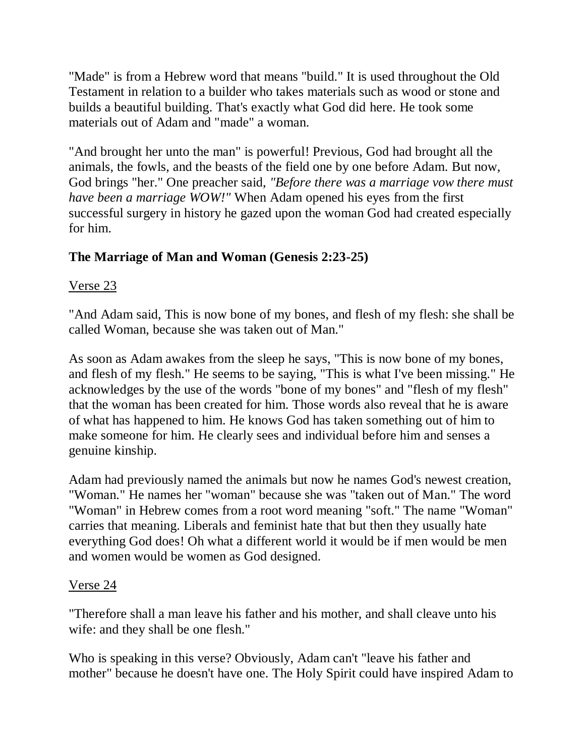"Made" is from a Hebrew word that means "build." It is used throughout the Old Testament in relation to a builder who takes materials such as wood or stone and builds a beautiful building. That's exactly what God did here. He took some materials out of Adam and "made" a woman.

"And brought her unto the man" is powerful! Previous, God had brought all the animals, the fowls, and the beasts of the field one by one before Adam. But now, God brings "her." One preacher said, *"Before there was a marriage vow there must have been a marriage WOW!"* When Adam opened his eyes from the first successful surgery in history he gazed upon the woman God had created especially for him.

# **The Marriage of Man and Woman (Genesis 2:23-25)**

# Verse 23

"And Adam said, This is now bone of my bones, and flesh of my flesh: she shall be called Woman, because she was taken out of Man."

As soon as Adam awakes from the sleep he says, "This is now bone of my bones, and flesh of my flesh." He seems to be saying, "This is what I've been missing." He acknowledges by the use of the words "bone of my bones" and "flesh of my flesh" that the woman has been created for him. Those words also reveal that he is aware of what has happened to him. He knows God has taken something out of him to make someone for him. He clearly sees and individual before him and senses a genuine kinship.

Adam had previously named the animals but now he names God's newest creation, "Woman." He names her "woman" because she was "taken out of Man." The word "Woman" in Hebrew comes from a root word meaning "soft." The name "Woman" carries that meaning. Liberals and feminist hate that but then they usually hate everything God does! Oh what a different world it would be if men would be men and women would be women as God designed.

# Verse 24

"Therefore shall a man leave his father and his mother, and shall cleave unto his wife: and they shall be one flesh."

Who is speaking in this verse? Obviously, Adam can't "leave his father and mother" because he doesn't have one. The Holy Spirit could have inspired Adam to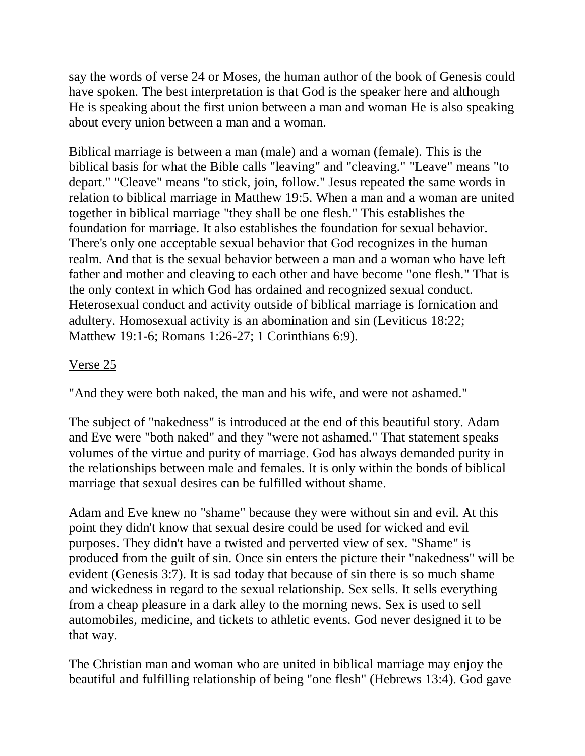say the words of verse 24 or Moses, the human author of the book of Genesis could have spoken. The best interpretation is that God is the speaker here and although He is speaking about the first union between a man and woman He is also speaking about every union between a man and a woman.

Biblical marriage is between a man (male) and a woman (female). This is the biblical basis for what the Bible calls "leaving" and "cleaving." "Leave" means "to depart." "Cleave" means "to stick, join, follow." Jesus repeated the same words in relation to biblical marriage in Matthew 19:5. When a man and a woman are united together in biblical marriage "they shall be one flesh." This establishes the foundation for marriage. It also establishes the foundation for sexual behavior. There's only one acceptable sexual behavior that God recognizes in the human realm. And that is the sexual behavior between a man and a woman who have left father and mother and cleaving to each other and have become "one flesh." That is the only context in which God has ordained and recognized sexual conduct. Heterosexual conduct and activity outside of biblical marriage is fornication and adultery. Homosexual activity is an abomination and sin (Leviticus 18:22; Matthew 19:1-6; Romans 1:26-27; 1 Corinthians 6:9).

## Verse 25

"And they were both naked, the man and his wife, and were not ashamed."

The subject of "nakedness" is introduced at the end of this beautiful story. Adam and Eve were "both naked" and they "were not ashamed." That statement speaks volumes of the virtue and purity of marriage. God has always demanded purity in the relationships between male and females. It is only within the bonds of biblical marriage that sexual desires can be fulfilled without shame.

Adam and Eve knew no "shame" because they were without sin and evil. At this point they didn't know that sexual desire could be used for wicked and evil purposes. They didn't have a twisted and perverted view of sex. "Shame" is produced from the guilt of sin. Once sin enters the picture their "nakedness" will be evident (Genesis 3:7). It is sad today that because of sin there is so much shame and wickedness in regard to the sexual relationship. Sex sells. It sells everything from a cheap pleasure in a dark alley to the morning news. Sex is used to sell automobiles, medicine, and tickets to athletic events. God never designed it to be that way.

The Christian man and woman who are united in biblical marriage may enjoy the beautiful and fulfilling relationship of being "one flesh" (Hebrews 13:4). God gave